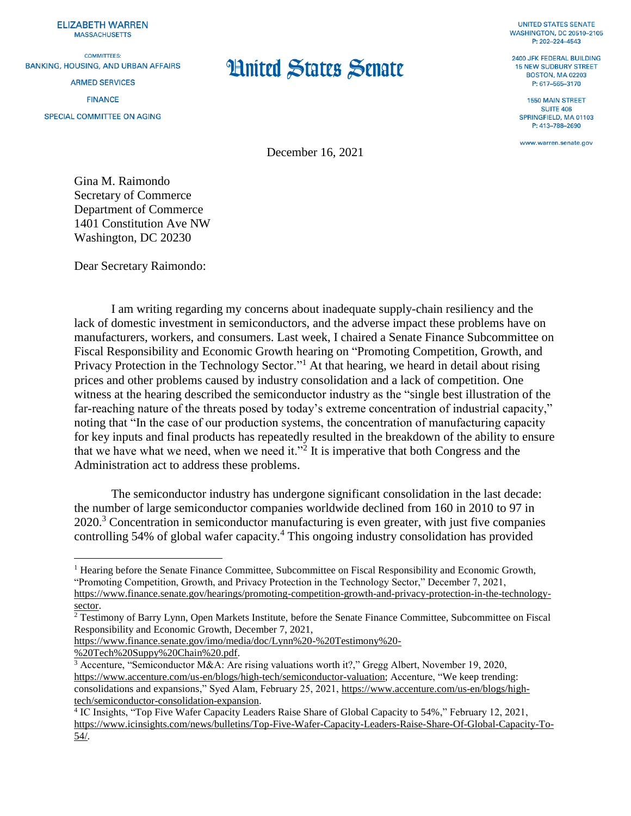**ELIZABETH WARREN MASSACHUSETTS** 

**COMMITTEES: BANKING, HOUSING, AND URBAN AFFAIRS** 

**ARMED SERVICES** 

**FINANCE** 

**SPECIAL COMMITTEE ON AGING** 

## **Hnited States Senate**

**UNITED STATES SENATE WASHINGTON, DC 20510-2105** P: 202-224-4543

2400 JFK FEDERAL BUILDING **15 NEW SUDRURY STREET BOSTON, MA 02203** P: 617-565-3170

**1550 MAIN STREET SUITE 406** SPRINGFIELD, MA 01103 P: 413-788-2690

www.warren.senate.gov

December 16, 2021

Gina M. Raimondo Secretary of Commerce Department of Commerce 1401 Constitution Ave NW Washington, DC 20230

Dear Secretary Raimondo:

I am writing regarding my concerns about inadequate supply-chain resiliency and the lack of domestic investment in semiconductors, and the adverse impact these problems have on manufacturers, workers, and consumers. Last week, I chaired a Senate Finance Subcommittee on Fiscal Responsibility and Economic Growth hearing on "Promoting Competition, Growth, and Privacy Protection in the Technology Sector."<sup>1</sup> At that hearing, we heard in detail about rising prices and other problems caused by industry consolidation and a lack of competition. One witness at the hearing described the semiconductor industry as the "single best illustration of the far-reaching nature of the threats posed by today's extreme concentration of industrial capacity," noting that "In the case of our production systems, the concentration of manufacturing capacity for key inputs and final products has repeatedly resulted in the breakdown of the ability to ensure that we have what we need, when we need it."<sup>2</sup> It is imperative that both Congress and the Administration act to address these problems.

The semiconductor industry has undergone significant consolidation in the last decade: the number of large semiconductor companies worldwide declined from 160 in 2010 to 97 in 2020.<sup>3</sup> Concentration in semiconductor manufacturing is even greater, with just five companies controlling 54% of global wafer capacity.<sup>4</sup> This ongoing industry consolidation has provided

[https://www.finance.senate.gov/imo/media/doc/Lynn%20-%20Testimony%20-](https://www.finance.senate.gov/imo/media/doc/Lynn%20-%20Testimony%20-%20Tech%20Suppy%20Chain%20.pdf)

[%20Tech%20Suppy%20Chain%20.pdf.](https://www.finance.senate.gov/imo/media/doc/Lynn%20-%20Testimony%20-%20Tech%20Suppy%20Chain%20.pdf)

 $\overline{a}$ 

<sup>&</sup>lt;sup>1</sup> Hearing before the Senate Finance Committee, Subcommittee on Fiscal Responsibility and Economic Growth, "Promoting Competition, Growth, and Privacy Protection in the Technology Sector," December 7, 2021, [https://www.finance.senate.gov/hearings/promoting-competition-growth-and-privacy-protection-in-the-technology](https://www.finance.senate.gov/hearings/promoting-competition-growth-and-privacy-protection-in-the-technology-sector)[sector.](https://www.finance.senate.gov/hearings/promoting-competition-growth-and-privacy-protection-in-the-technology-sector)

<sup>2</sup> Testimony of Barry Lynn, Open Markets Institute, before the Senate Finance Committee, Subcommittee on Fiscal Responsibility and Economic Growth, December 7, 2021,

<sup>3</sup> Accenture, "Semiconductor M&A: Are rising valuations worth it?," Gregg Albert, November 19, 2020, [https://www.accenture.com/us-en/blogs/high-tech/semiconductor-valuation;](https://www.accenture.com/us-en/blogs/high-tech/semiconductor-valuation) Accenture, "We keep trending: consolidations and expansions," Syed Alam, February 25, 2021, [https://www.accenture.com/us-en/blogs/high](https://www.accenture.com/us-en/blogs/high-tech/semiconductor-consolidation-expansion)[tech/semiconductor-consolidation-expansion.](https://www.accenture.com/us-en/blogs/high-tech/semiconductor-consolidation-expansion)

<sup>4</sup> IC Insights, "Top Five Wafer Capacity Leaders Raise Share of Global Capacity to 54%," February 12, 2021, [https://www.icinsights.com/news/bulletins/Top-Five-Wafer-Capacity-Leaders-Raise-Share-Of-Global-Capacity-To-](https://www.icinsights.com/news/bulletins/Top-Five-Wafer-Capacity-Leaders-Raise-Share-Of-Global-Capacity-To-54/)[54/.](https://www.icinsights.com/news/bulletins/Top-Five-Wafer-Capacity-Leaders-Raise-Share-Of-Global-Capacity-To-54/)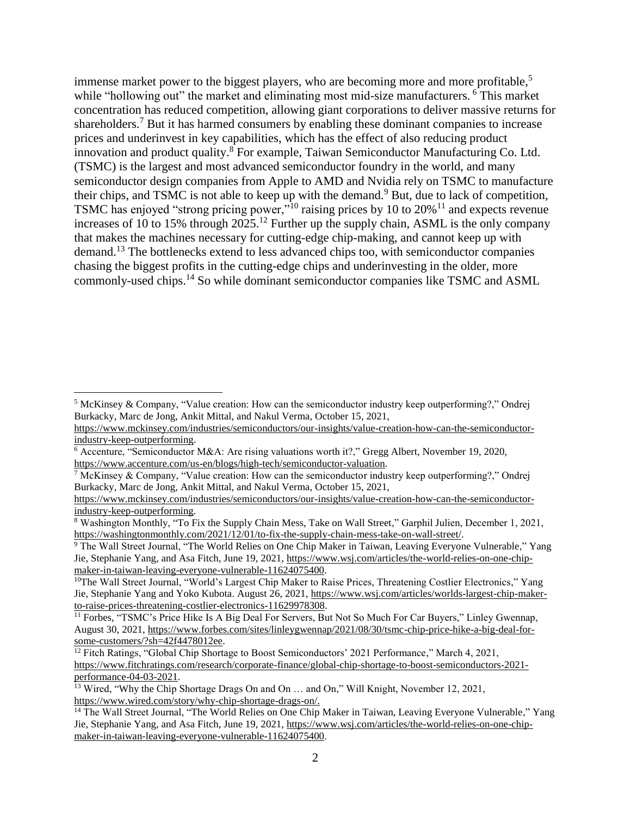immense market power to the biggest players, who are becoming more and more profitable,<sup>5</sup> while "hollowing out" the market and eliminating most mid-size manufacturers. <sup>6</sup> This market concentration has reduced competition, allowing giant corporations to deliver massive returns for shareholders.<sup>7</sup> But it has harmed consumers by enabling these dominant companies to increase prices and underinvest in key capabilities, which has the effect of also reducing product innovation and product quality. <sup>8</sup> For example, Taiwan Semiconductor Manufacturing Co. Ltd. (TSMC) is the largest and most advanced semiconductor foundry in the world, and many semiconductor design companies from Apple to AMD and Nvidia rely on TSMC to manufacture their chips, and TSMC is not able to keep up with the demand.<sup>9</sup> But, due to lack of competition, TSMC has enjoyed "strong pricing power,"<sup>10</sup> raising prices by 10 to 20%<sup>11</sup> and expects revenue increases of 10 to 15% through 2025.<sup>12</sup> Further up the supply chain, ASML is the only company that makes the machines necessary for cutting-edge chip-making, and cannot keep up with demand.<sup>13</sup> The bottlenecks extend to less advanced chips too, with semiconductor companies chasing the biggest profits in the cutting-edge chips and underinvesting in the older, more commonly-used chips.<sup>14</sup> So while dominant semiconductor companies like TSMC and ASML

 $\overline{a}$ 

<sup>5</sup> McKinsey & Company, "Value creation: How can the semiconductor industry keep outperforming?," Ondrej Burkacky, Marc de Jong, Ankit Mittal, and Nakul Verma, October 15, 2021,

[https://www.mckinsey.com/industries/semiconductors/our-insights/value-creation-how-can-the-semiconductor](https://www.mckinsey.com/industries/semiconductors/our-insights/value-creation-how-can-the-semiconductor-industry-keep-outperforming)[industry-keep-outperforming.](https://www.mckinsey.com/industries/semiconductors/our-insights/value-creation-how-can-the-semiconductor-industry-keep-outperforming)

<sup>6</sup> Accenture, "Semiconductor M&A: Are rising valuations worth it?," Gregg Albert, November 19, 2020, [https://www.accenture.com/us-en/blogs/high-tech/semiconductor-valuation.](https://www.accenture.com/us-en/blogs/high-tech/semiconductor-valuation)

<sup>&</sup>lt;sup>7</sup> McKinsey & Company, "Value creation: How can the semiconductor industry keep outperforming?," Ondrej Burkacky, Marc de Jong, Ankit Mittal, and Nakul Verma, October 15, 2021,

[https://www.mckinsey.com/industries/semiconductors/our-insights/value-creation-how-can-the-semiconductor](https://www.mckinsey.com/industries/semiconductors/our-insights/value-creation-how-can-the-semiconductor-industry-keep-outperforming)[industry-keep-outperforming.](https://www.mckinsey.com/industries/semiconductors/our-insights/value-creation-how-can-the-semiconductor-industry-keep-outperforming)

<sup>8</sup> Washington Monthly, "To Fix the Supply Chain Mess, Take on Wall Street," Garphil Julien, December 1, 2021, [https://washingtonmonthly.com/2021/12/01/to-fix-the-supply-chain-mess-take-on-wall-street/.](https://washingtonmonthly.com/2021/12/01/to-fix-the-supply-chain-mess-take-on-wall-street/)

<sup>9</sup> The Wall Street Journal, "The World Relies on One Chip Maker in Taiwan, Leaving Everyone Vulnerable," Yang Jie, Stephanie Yang, and Asa Fitch, June 19, 2021, [https://www.wsj.com/articles/the-world-relies-on-one-chip](https://www.wsj.com/articles/the-world-relies-on-one-chip-maker-in-taiwan-leaving-everyone-vulnerable-11624075400)[maker-in-taiwan-leaving-everyone-vulnerable-11624075400.](https://www.wsj.com/articles/the-world-relies-on-one-chip-maker-in-taiwan-leaving-everyone-vulnerable-11624075400)

<sup>&</sup>lt;sup>10</sup>The Wall Street Journal, "World's Largest Chip Maker to Raise Prices, Threatening Costlier Electronics," Yang Jie, Stephanie Yang and Yoko Kubota. August 26, 2021[, https://www.wsj.com/articles/worlds-largest-chip-maker](https://www.wsj.com/articles/worlds-largest-chip-maker-to-raise-prices-threatening-costlier-electronics-11629978308)[to-raise-prices-threatening-costlier-electronics-11629978308.](https://www.wsj.com/articles/worlds-largest-chip-maker-to-raise-prices-threatening-costlier-electronics-11629978308)

<sup>&</sup>lt;sup>11</sup> Forbes, "TSMC's Price Hike Is A Big Deal For Servers, But Not So Much For Car Buyers," Linley Gwennap, August 30, 2021, [https://www.forbes.com/sites/linleygwennap/2021/08/30/tsmc-chip-price-hike-a-big-deal-for](https://www.forbes.com/sites/linleygwennap/2021/08/30/tsmc-chip-price-hike-a-big-deal-for-some-customers/?sh=42f4478012ee)[some-customers/?sh=42f4478012ee.](https://www.forbes.com/sites/linleygwennap/2021/08/30/tsmc-chip-price-hike-a-big-deal-for-some-customers/?sh=42f4478012ee)

<sup>&</sup>lt;sup>12</sup> Fitch Ratings, "Global Chip Shortage to Boost Semiconductors' 2021 Performance," March 4, 2021, [https://www.fitchratings.com/research/corporate-finance/global-chip-shortage-to-boost-semiconductors-2021](https://www.fitchratings.com/research/corporate-finance/global-chip-shortage-to-boost-semiconductors-2021-performance-04-03-2021) [performance-04-03-2021.](https://www.fitchratings.com/research/corporate-finance/global-chip-shortage-to-boost-semiconductors-2021-performance-04-03-2021)

<sup>&</sup>lt;sup>13</sup> Wired, "Why the Chip Shortage Drags On and On ... and On," Will Knight, November 12, 2021, [https://www.wired.com/story/why-chip-shortage-drags-on/.](https://www.wired.com/story/why-chip-shortage-drags-on/)

<sup>&</sup>lt;sup>14</sup> The Wall Street Journal, "The World Relies on One Chip Maker in Taiwan, Leaving Everyone Vulnerable," Yang Jie, Stephanie Yang, and Asa Fitch, June 19, 2021, [https://www.wsj.com/articles/the-world-relies-on-one-chip](https://www.wsj.com/articles/the-world-relies-on-one-chip-maker-in-taiwan-leaving-everyone-vulnerable-11624075400)[maker-in-taiwan-leaving-everyone-vulnerable-11624075400.](https://www.wsj.com/articles/the-world-relies-on-one-chip-maker-in-taiwan-leaving-everyone-vulnerable-11624075400)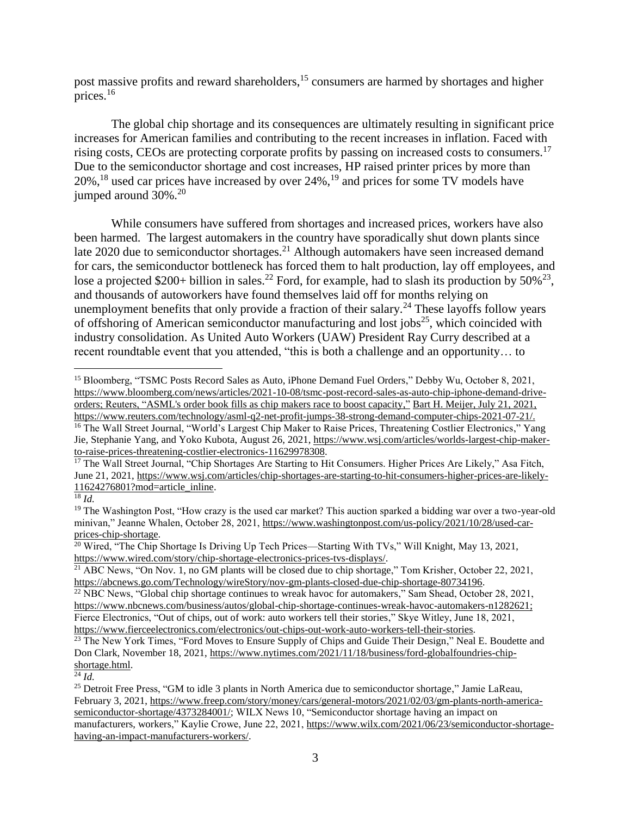post massive profits and reward shareholders,<sup>15</sup> consumers are harmed by shortages and higher prices. 16

The global chip shortage and its consequences are ultimately resulting in significant price increases for American families and contributing to the recent increases in inflation. Faced with rising costs, CEOs are protecting corporate profits by passing on increased costs to consumers. 17 Due to the semiconductor shortage and cost increases, HP raised printer prices by more than 20%, <sup>18</sup> used car prices have increased by over 24%, <sup>19</sup> and prices for some TV models have jumped around 30%.<sup>20</sup>

While consumers have suffered from shortages and increased prices, workers have also been harmed. The largest automakers in the country have sporadically shut down plants since late 2020 due to semiconductor shortages.<sup>21</sup> Although automakers have seen increased demand for cars, the semiconductor bottleneck has forced them to halt production, lay off employees, and lose a projected \$200+ billion in sales.<sup>22</sup> Ford, for example, had to slash its production by 50%<sup>23</sup>, and thousands of autoworkers have found themselves laid off for months relying on unemployment benefits that only provide a fraction of their salary.<sup>24</sup> These layoffs follow years of offshoring of American semiconductor manufacturing and lost jobs<sup>25</sup>, which coincided with industry consolidation. As United Auto Workers (UAW) President Ray Curry described at a recent roundtable event that you attended, "this is both a challenge and an opportunity… to

<sup>18</sup> *Id.*

 $\overline{a}$ 

 $\overline{\frac{24}{}}$ *Id.* 

<sup>&</sup>lt;sup>15</sup> Bloomberg, "TSMC Posts Record Sales as Auto, iPhone Demand Fuel Orders," Debby Wu, October 8, 2021, [https://www.bloomberg.com/news/articles/2021-10-08/tsmc-post-record-sales-as-auto-chip-iphone-demand-drive](https://www.bloomberg.com/news/articles/2021-10-08/tsmc-post-record-sales-as-auto-chip-iphone-demand-drive-orders)[orders;](https://www.bloomberg.com/news/articles/2021-10-08/tsmc-post-record-sales-as-auto-chip-iphone-demand-drive-orders) Reuters, "ASML's order book fills as chip makers race to boost capacity," Bart H. Meijer, July 21, 2021, [https://www.reuters.com/technology/asml-q2-net-profit-jumps-38-strong-demand-computer-chips-2021-07-21/.](https://www.reuters.com/technology/asml-q2-net-profit-jumps-38-strong-demand-computer-chips-2021-07-21/) <sup>16</sup> The Wall Street Journal, "World's Largest Chip Maker to Raise Prices, Threatening Costlier Electronics," Yang

Jie, Stephanie Yang, and Yoko Kubota, August 26, 2021, [https://www.wsj.com/articles/worlds-largest-chip-maker](https://www.wsj.com/articles/worlds-largest-chip-maker-to-raise-prices-threatening-costlier-electronics-11629978308)[to-raise-prices-threatening-costlier-electronics-11629978308.](https://www.wsj.com/articles/worlds-largest-chip-maker-to-raise-prices-threatening-costlier-electronics-11629978308)

<sup>&</sup>lt;sup>17</sup> The Wall Street Journal, "Chip Shortages Are Starting to Hit Consumers. Higher Prices Are Likely," Asa Fitch, June 21, 2021, [https://www.wsj.com/articles/chip-shortages-are-starting-to-hit-consumers-higher-prices-are-likely-](https://www.wsj.com/articles/chip-shortages-are-starting-to-hit-consumers-higher-prices-are-likely-11624276801?mod=article_inline)[11624276801?mod=article\\_inline.](https://www.wsj.com/articles/chip-shortages-are-starting-to-hit-consumers-higher-prices-are-likely-11624276801?mod=article_inline)

<sup>&</sup>lt;sup>19</sup> The Washington Post, "How crazy is the used car market? This auction sparked a bidding war over a two-year-old minivan," Jeanne Whalen, October 28, 2021[, https://www.washingtonpost.com/us-policy/2021/10/28/used-car](https://www.washingtonpost.com/us-policy/2021/10/28/used-car-prices-chip-shortage/)[prices-chip-shortage.](https://www.washingtonpost.com/us-policy/2021/10/28/used-car-prices-chip-shortage/)

<sup>&</sup>lt;sup>20</sup> Wired, "The Chip Shortage Is Driving Up Tech Prices—Starting With TVs," Will Knight, May 13, 2021, [https://www.wired.com/story/chip-shortage-electronics-prices-tvs-displays/.](https://www.wired.com/story/chip-shortage-electronics-prices-tvs-displays/)

<sup>&</sup>lt;sup>21</sup> ABC News, "On Nov. 1, no GM plants will be closed due to chip shortage," Tom Krisher, October 22, 2021, [https://abcnews.go.com/Technology/wireStory/nov-gm-plants-closed-due-chip-shortage-80734196.](https://abcnews.go.com/Technology/wireStory/nov-gm-plants-closed-due-chip-shortage-80734196)

 $22$  NBC News, "Global chip shortage continues to wreak havoc for automakers," Sam Shead, October 28, 2021, [https://www.nbcnews.com/business/autos/global-chip-shortage-continues-wreak-havoc-automakers-n1282621;](https://www.nbcnews.com/business/autos/global-chip-shortage-continues-wreak-havoc-automakers-n1282621) Fierce Electronics, "Out of chips, out of work: auto workers tell their stories," Skye Witley, June 18, 2021, [https://www.fierceelectronics.com/electronics/out-chips-out-work-auto-workers-tell-their-stories.](https://www.fierceelectronics.com/electronics/out-chips-out-work-auto-workers-tell-their-stories)

<sup>&</sup>lt;sup>23</sup> The New York Times, "Ford Moves to Ensure Supply of Chips and Guide Their Design," Neal E. Boudette and Don Clark, November 18, 2021[, https://www.nytimes.com/2021/11/18/business/ford-globalfoundries-chip](https://www.nytimes.com/2021/11/18/business/ford-globalfoundries-chip-shortage.html)[shortage.html.](https://www.nytimes.com/2021/11/18/business/ford-globalfoundries-chip-shortage.html)

<sup>&</sup>lt;sup>25</sup> Detroit Free Press, "GM to idle 3 plants in North America due to semiconductor shortage," Jamie LaReau, February 3, 2021[, https://www.freep.com/story/money/cars/general-motors/2021/02/03/gm-plants-north-america](https://www.freep.com/story/money/cars/general-motors/2021/02/03/gm-plants-north-america-semiconductor-shortage/4373284001/)[semiconductor-shortage/4373284001/;](https://www.freep.com/story/money/cars/general-motors/2021/02/03/gm-plants-north-america-semiconductor-shortage/4373284001/) WILX News 10, "Semiconductor shortage having an impact on manufacturers, workers," Kaylie Crowe, June 22, 2021, [https://www.wilx.com/2021/06/23/semiconductor-shortage](https://www.wilx.com/2021/06/23/semiconductor-shortage-having-an-impact-manufacturers-workers/)[having-an-impact-manufacturers-workers/.](https://www.wilx.com/2021/06/23/semiconductor-shortage-having-an-impact-manufacturers-workers/)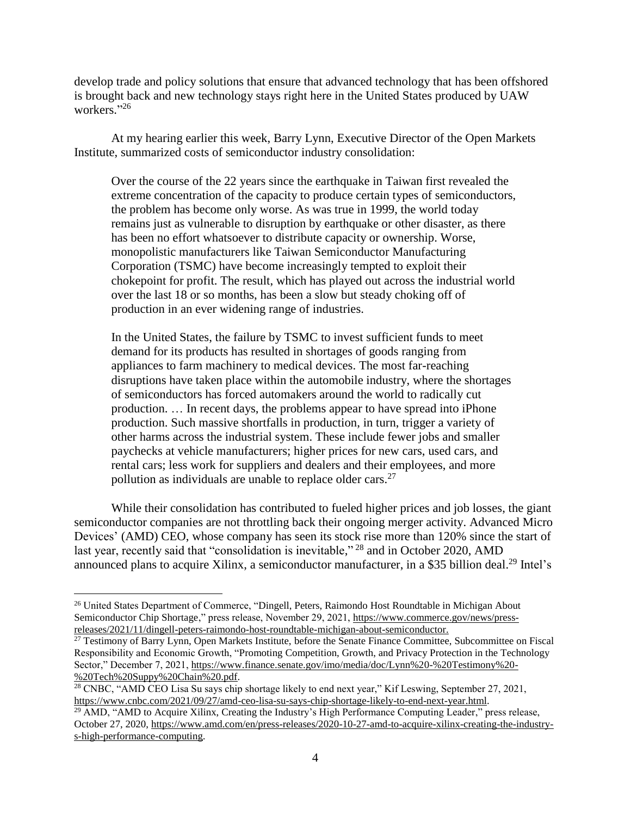develop trade and policy solutions that ensure that advanced technology that has been offshored is brought back and new technology stays right here in the United States produced by UAW workers." 26

At my hearing earlier this week, Barry Lynn, Executive Director of the Open Markets Institute, summarized costs of semiconductor industry consolidation:

Over the course of the 22 years since the earthquake in Taiwan first revealed the extreme concentration of the capacity to produce certain types of semiconductors, the problem has become only worse. As was true in 1999, the world today remains just as vulnerable to disruption by earthquake or other disaster, as there has been no effort whatsoever to distribute capacity or ownership. Worse, monopolistic manufacturers like Taiwan Semiconductor Manufacturing Corporation (TSMC) have become increasingly tempted to exploit their chokepoint for profit. The result, which has played out across the industrial world over the last 18 or so months, has been a slow but steady choking off of production in an ever widening range of industries.

In the United States, the failure by TSMC to invest sufficient funds to meet demand for its products has resulted in shortages of goods ranging from appliances to farm machinery to medical devices. The most far-reaching disruptions have taken place within the automobile industry, where the shortages of semiconductors has forced automakers around the world to radically cut production. … In recent days, the problems appear to have spread into iPhone production. Such massive shortfalls in production, in turn, trigger a variety of other harms across the industrial system. These include fewer jobs and smaller paychecks at vehicle manufacturers; higher prices for new cars, used cars, and rental cars; less work for suppliers and dealers and their employees, and more pollution as individuals are unable to replace older cars. $27$ 

While their consolidation has contributed to fueled higher prices and job losses, the giant semiconductor companies are not throttling back their ongoing merger activity. Advanced Micro Devices' (AMD) CEO, whose company has seen its stock rise more than 120% since the start of last year, recently said that "consolidation is inevitable,"<sup>28</sup> and in October 2020, AMD announced plans to acquire Xilinx, a semiconductor manufacturer, in a \$35 billion deal.<sup>29</sup> Intel's

 $\overline{a}$ 

<sup>&</sup>lt;sup>26</sup> United States Department of Commerce, "Dingell, Peters, Raimondo Host Roundtable in Michigan About Semiconductor Chip Shortage," press release, November 29, 2021, [https://www.commerce.gov/news/press](https://www.commerce.gov/news/press-releases/2021/11/dingell-peters-raimondo-host-roundtable-michigan-about-semiconductor)[releases/2021/11/dingell-peters-raimondo-host-roundtable-michigan-about-semiconductor.](https://www.commerce.gov/news/press-releases/2021/11/dingell-peters-raimondo-host-roundtable-michigan-about-semiconductor)

 $27$  Testimony of Barry Lynn, Open Markets Institute, before the Senate Finance Committee, Subcommittee on Fiscal Responsibility and Economic Growth, "Promoting Competition, Growth, and Privacy Protection in the Technology Sector," December 7, 2021, [https://www.finance.senate.gov/imo/media/doc/Lynn%20-%20Testimony%20-](https://www.finance.senate.gov/imo/media/doc/Lynn%20-%20Testimony%20-%20Tech%20Suppy%20Chain%20.pdf) [%20Tech%20Suppy%20Chain%20.pdf.](https://www.finance.senate.gov/imo/media/doc/Lynn%20-%20Testimony%20-%20Tech%20Suppy%20Chain%20.pdf)

<sup>&</sup>lt;sup>28</sup> CNBC, "AMD CEO Lisa Su says chip shortage likely to end next year," Kif Leswing, September 27, 2021, [https://www.cnbc.com/2021/09/27/amd-ceo-lisa-su-says-chip-shortage-likely-to-end-next-year.html.](https://www.cnbc.com/2021/09/27/amd-ceo-lisa-su-says-chip-shortage-likely-to-end-next-year.html)

<sup>&</sup>lt;sup>29</sup> AMD, "AMD to Acquire Xilinx, Creating the Industry's High Performance Computing Leader," press release, October 27, 2020[, https://www.amd.com/en/press-releases/2020-10-27-amd-to-acquire-xilinx-creating-the-industry](https://www.amd.com/en/press-releases/2020-10-27-amd-to-acquire-xilinx-creating-the-industry-s-high-performance-computing)[s-high-performance-computing.](https://www.amd.com/en/press-releases/2020-10-27-amd-to-acquire-xilinx-creating-the-industry-s-high-performance-computing)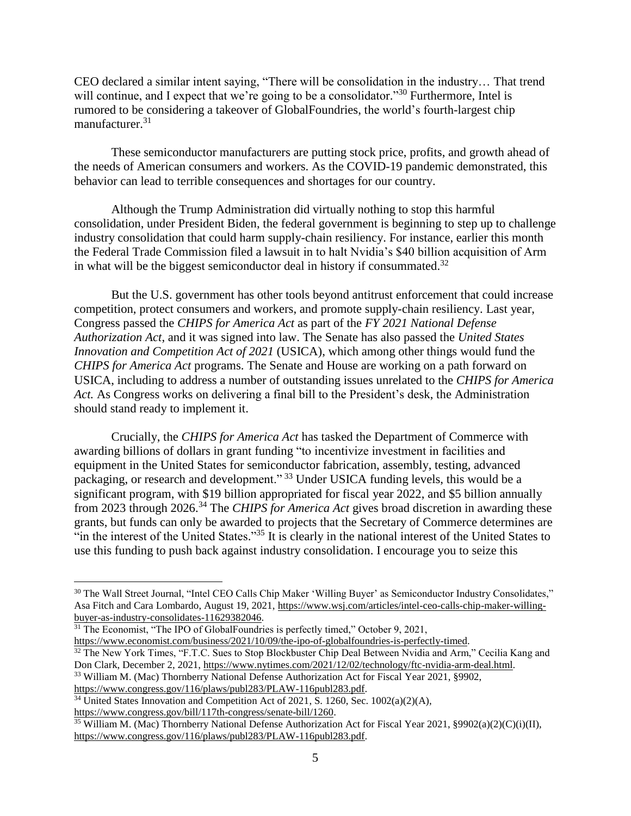CEO declared a similar intent saying, "There will be consolidation in the industry… That trend will continue, and I expect that we're going to be a consolidator."<sup>30</sup> Furthermore, Intel is rumored to be considering a takeover of GlobalFoundries, the world's fourth-largest chip manufacturer.<sup>31</sup>

These semiconductor manufacturers are putting stock price, profits, and growth ahead of the needs of American consumers and workers. As the COVID-19 pandemic demonstrated, this behavior can lead to terrible consequences and shortages for our country.

Although the Trump Administration did virtually nothing to stop this harmful consolidation, under President Biden, the federal government is beginning to step up to challenge industry consolidation that could harm supply-chain resiliency. For instance, earlier this month the Federal Trade Commission filed a lawsuit in to halt Nvidia's \$40 billion acquisition of Arm in what will be the biggest semiconductor deal in history if consummated.<sup>32</sup>

But the U.S. government has other tools beyond antitrust enforcement that could increase competition, protect consumers and workers, and promote supply-chain resiliency. Last year, Congress passed the *CHIPS for America Act* as part of the *FY 2021 National Defense Authorization Act*, and it was signed into law. The Senate has also passed the *United States Innovation and Competition Act of 2021* (USICA), which among other things would fund the *CHIPS for America Act* programs. The Senate and House are working on a path forward on USICA, including to address a number of outstanding issues unrelated to the *CHIPS for America Act.* As Congress works on delivering a final bill to the President's desk, the Administration should stand ready to implement it.

Crucially, the *CHIPS for America Act* has tasked the Department of Commerce with awarding billions of dollars in grant funding "to incentivize investment in facilities and equipment in the United States for semiconductor fabrication, assembly, testing, advanced packaging, or research and development." <sup>33</sup> Under USICA funding levels, this would be a significant program, with \$19 billion appropriated for fiscal year 2022, and \$5 billion annually from 2023 through 2026.<sup>34</sup> The *CHIPS for America Act* gives broad discretion in awarding these grants, but funds can only be awarded to projects that the Secretary of Commerce determines are "in the interest of the United States."<sup>35</sup> It is clearly in the national interest of the United States to use this funding to push back against industry consolidation. I encourage you to seize this

[https://www.economist.com/business/2021/10/09/the-ipo-of-globalfoundries-is-perfectly-timed.](https://www.economist.com/business/2021/10/09/the-ipo-of-globalfoundries-is-perfectly-timed)

[https://www.congress.gov/bill/117th-congress/senate-bill/1260.](https://www.congress.gov/bill/117th-congress/senate-bill/1260)

 $\overline{a}$ 

<sup>35</sup> William M. (Mac) Thornberry National Defense Authorization Act for Fiscal Year 2021, §9902(a)(2)(C)(i)(II), [https://www.congress.gov/116/plaws/publ283/PLAW-116publ283.pdf.](https://www.congress.gov/116/plaws/publ283/PLAW-116publ283.pdf)

<sup>&</sup>lt;sup>30</sup> The Wall Street Journal, "Intel CEO Calls Chip Maker 'Willing Buyer' as Semiconductor Industry Consolidates," Asa Fitch and Cara Lombardo, August 19, 2021, [https://www.wsj.com/articles/intel-ceo-calls-chip-maker-willing](https://www.wsj.com/articles/intel-ceo-calls-chip-maker-willing-buyer-as-industry-consolidates-11629382046)[buyer-as-industry-consolidates-11629382046.](https://www.wsj.com/articles/intel-ceo-calls-chip-maker-willing-buyer-as-industry-consolidates-11629382046)

<sup>&</sup>lt;sup>31</sup> The Economist, "The IPO of GlobalFoundries is perfectly timed," October 9, 2021,

<sup>&</sup>lt;sup>32</sup> The New York Times, "F.T.C. Sues to Stop Blockbuster Chip Deal Between Nvidia and Arm," Cecilia Kang and Don Clark, December 2, 2021, [https://www.nytimes.com/2021/12/02/technology/ftc-nvidia-arm-deal.html.](https://www.nytimes.com/2021/12/02/technology/ftc-nvidia-arm-deal.html) <sup>33</sup> William M. (Mac) Thornberry National Defense Authorization Act for Fiscal Year 2021, §9902,

[https://www.congress.gov/116/plaws/publ283/PLAW-116publ283.pdf.](https://www.congress.gov/116/plaws/publ283/PLAW-116publ283.pdf)

<sup>&</sup>lt;sup>34</sup> United States Innovation and Competition Act of 2021, S. 1260, Sec. 1002(a)(2)(A),